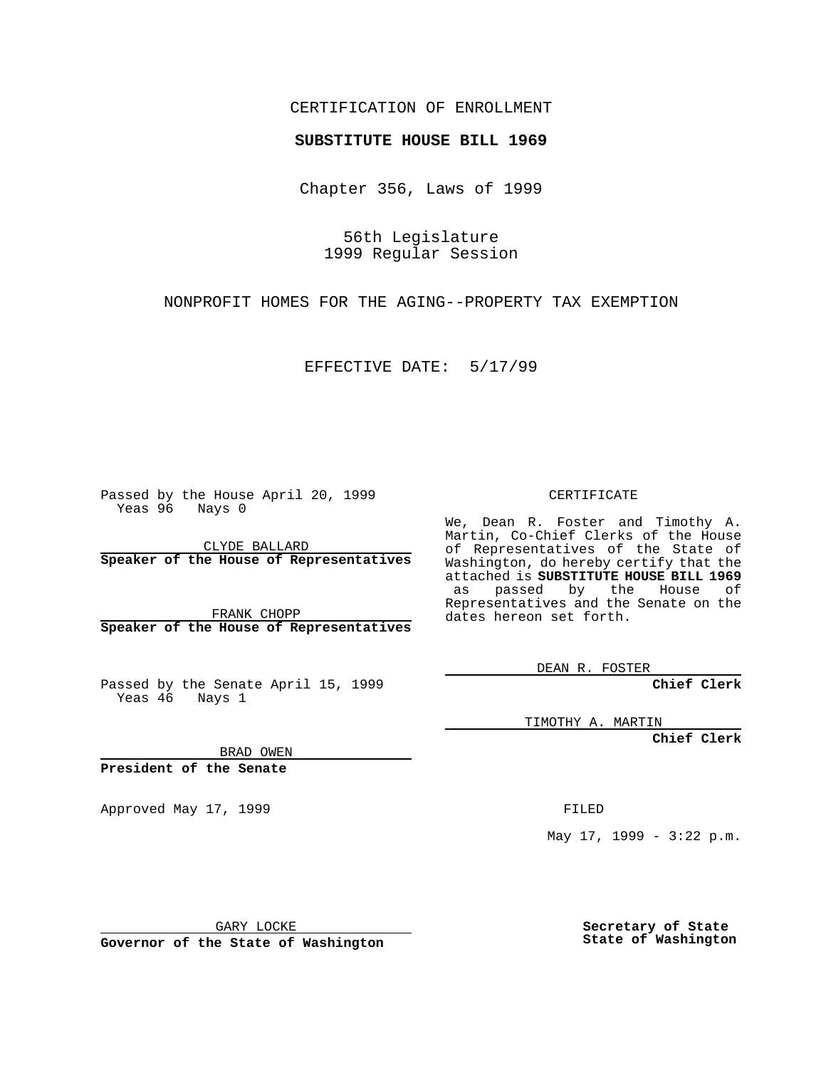### CERTIFICATION OF ENROLLMENT

# **SUBSTITUTE HOUSE BILL 1969**

Chapter 356, Laws of 1999

56th Legislature 1999 Regular Session

NONPROFIT HOMES FOR THE AGING--PROPERTY TAX EXEMPTION

EFFECTIVE DATE: 5/17/99

Passed by the House April 20, 1999 Yeas 96 Nays 0

CLYDE BALLARD **Speaker of the House of Representatives**

FRANK CHOPP **Speaker of the House of Representatives**

Passed by the Senate April 15, 1999 Yeas 46 Nays 1

CERTIFICATE

We, Dean R. Foster and Timothy A. Martin, Co-Chief Clerks of the House of Representatives of the State of Washington, do hereby certify that the attached is **SUBSTITUTE HOUSE BILL 1969** as passed by the House of Representatives and the Senate on the dates hereon set forth.

DEAN R. FOSTER

**Chief Clerk**

TIMOTHY A. MARTIN

**Chief Clerk**

BRAD OWEN

**President of the Senate**

Approved May 17, 1999 **FILED** 

May 17, 1999 - 3:22 p.m.

GARY LOCKE

**Governor of the State of Washington**

**Secretary of State State of Washington**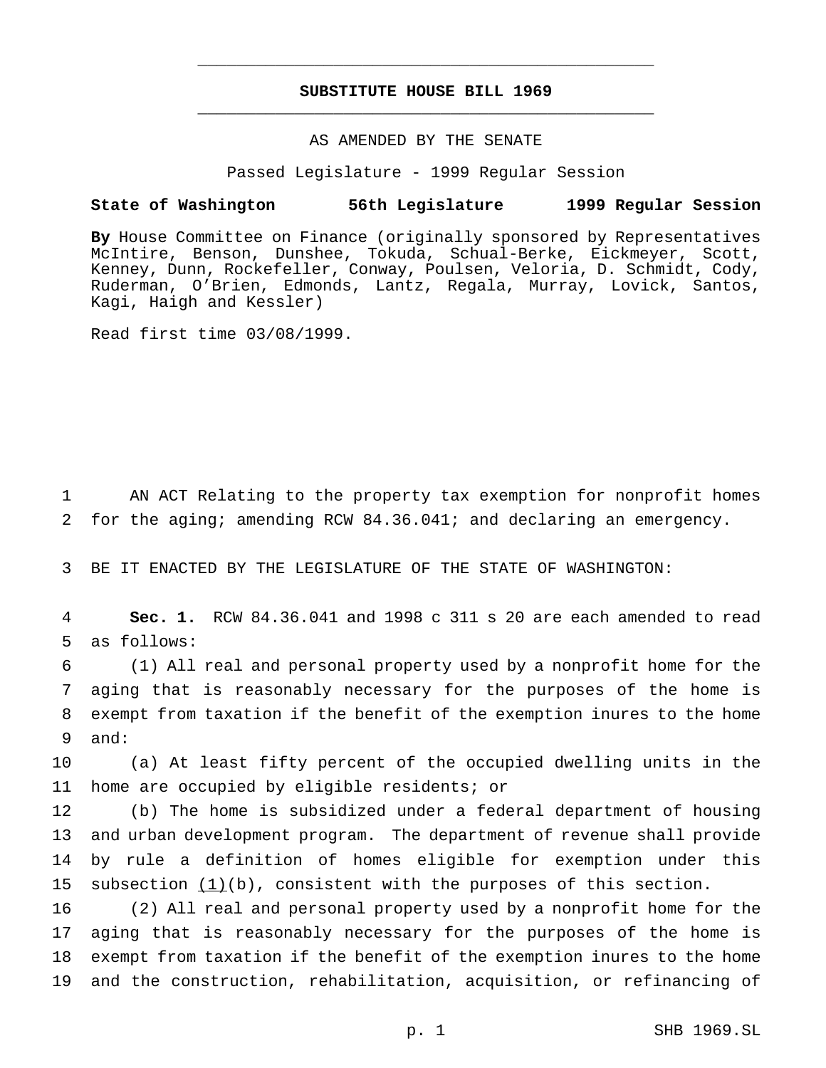# **SUBSTITUTE HOUSE BILL 1969** \_\_\_\_\_\_\_\_\_\_\_\_\_\_\_\_\_\_\_\_\_\_\_\_\_\_\_\_\_\_\_\_\_\_\_\_\_\_\_\_\_\_\_\_\_\_\_

\_\_\_\_\_\_\_\_\_\_\_\_\_\_\_\_\_\_\_\_\_\_\_\_\_\_\_\_\_\_\_\_\_\_\_\_\_\_\_\_\_\_\_\_\_\_\_

#### AS AMENDED BY THE SENATE

Passed Legislature - 1999 Regular Session

#### **State of Washington 56th Legislature 1999 Regular Session**

**By** House Committee on Finance (originally sponsored by Representatives McIntire, Benson, Dunshee, Tokuda, Schual-Berke, Eickmeyer, Scott, Kenney, Dunn, Rockefeller, Conway, Poulsen, Veloria, D. Schmidt, Cody, Ruderman, O'Brien, Edmonds, Lantz, Regala, Murray, Lovick, Santos, Kagi, Haigh and Kessler)

Read first time 03/08/1999.

1 AN ACT Relating to the property tax exemption for nonprofit homes 2 for the aging; amending RCW 84.36.041; and declaring an emergency.

3 BE IT ENACTED BY THE LEGISLATURE OF THE STATE OF WASHINGTON:

4 **Sec. 1.** RCW 84.36.041 and 1998 c 311 s 20 are each amended to read 5 as follows:

 (1) All real and personal property used by a nonprofit home for the aging that is reasonably necessary for the purposes of the home is exempt from taxation if the benefit of the exemption inures to the home 9 and:

10 (a) At least fifty percent of the occupied dwelling units in the 11 home are occupied by eligible residents; or

 (b) The home is subsidized under a federal department of housing and urban development program. The department of revenue shall provide by rule a definition of homes eligible for exemption under this 15 subsection  $(1)(b)$ , consistent with the purposes of this section.

 (2) All real and personal property used by a nonprofit home for the aging that is reasonably necessary for the purposes of the home is exempt from taxation if the benefit of the exemption inures to the home and the construction, rehabilitation, acquisition, or refinancing of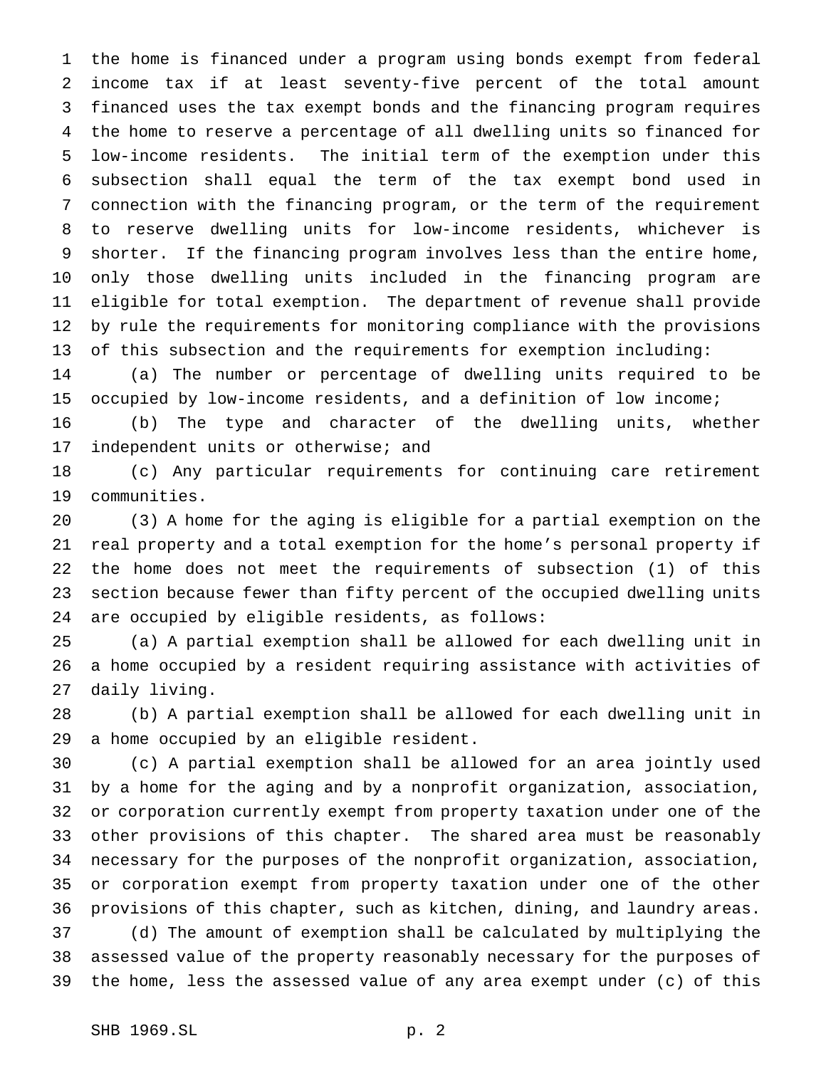the home is financed under a program using bonds exempt from federal income tax if at least seventy-five percent of the total amount financed uses the tax exempt bonds and the financing program requires the home to reserve a percentage of all dwelling units so financed for low-income residents. The initial term of the exemption under this subsection shall equal the term of the tax exempt bond used in connection with the financing program, or the term of the requirement to reserve dwelling units for low-income residents, whichever is shorter. If the financing program involves less than the entire home, only those dwelling units included in the financing program are eligible for total exemption. The department of revenue shall provide by rule the requirements for monitoring compliance with the provisions of this subsection and the requirements for exemption including:

 (a) The number or percentage of dwelling units required to be occupied by low-income residents, and a definition of low income;

 (b) The type and character of the dwelling units, whether independent units or otherwise; and

 (c) Any particular requirements for continuing care retirement communities.

 (3) A home for the aging is eligible for a partial exemption on the real property and a total exemption for the home's personal property if the home does not meet the requirements of subsection (1) of this section because fewer than fifty percent of the occupied dwelling units are occupied by eligible residents, as follows:

 (a) A partial exemption shall be allowed for each dwelling unit in a home occupied by a resident requiring assistance with activities of daily living.

 (b) A partial exemption shall be allowed for each dwelling unit in a home occupied by an eligible resident.

 (c) A partial exemption shall be allowed for an area jointly used by a home for the aging and by a nonprofit organization, association, or corporation currently exempt from property taxation under one of the other provisions of this chapter. The shared area must be reasonably necessary for the purposes of the nonprofit organization, association, or corporation exempt from property taxation under one of the other provisions of this chapter, such as kitchen, dining, and laundry areas. (d) The amount of exemption shall be calculated by multiplying the

 assessed value of the property reasonably necessary for the purposes of the home, less the assessed value of any area exempt under (c) of this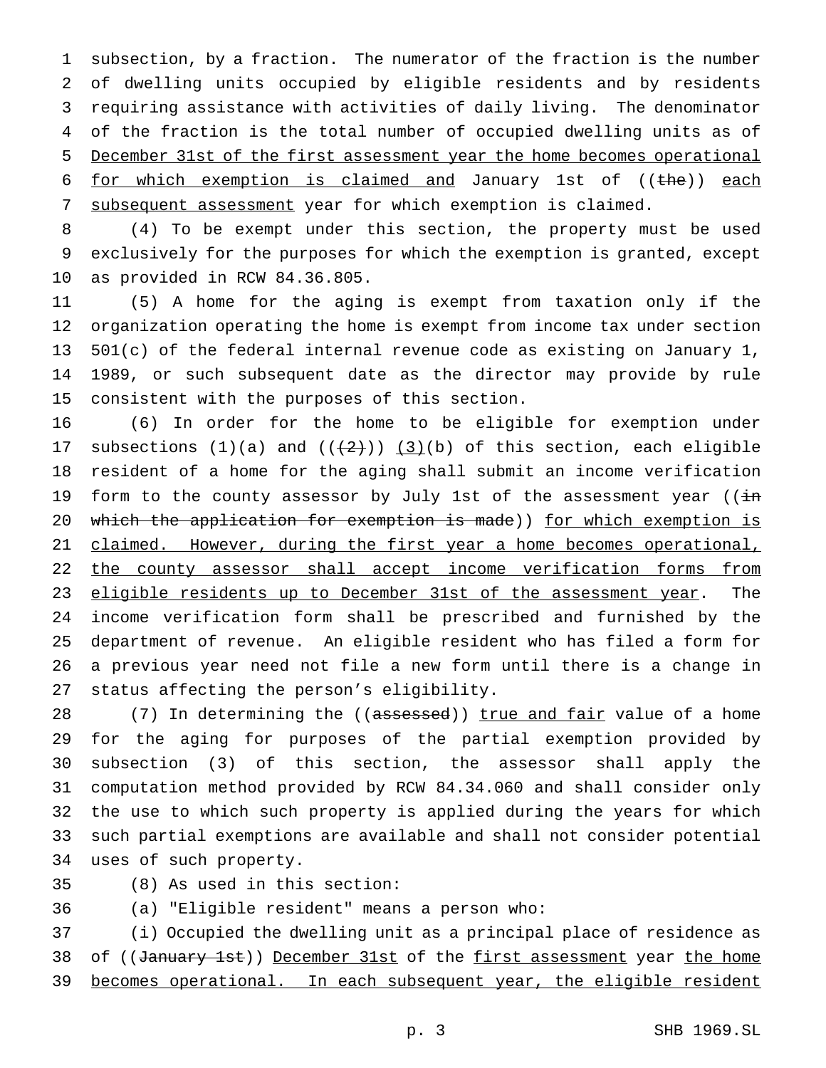subsection, by a fraction. The numerator of the fraction is the number of dwelling units occupied by eligible residents and by residents requiring assistance with activities of daily living. The denominator of the fraction is the total number of occupied dwelling units as of December 31st of the first assessment year the home becomes operational 6 for which exemption is claimed and January 1st of  $((the)$  each subsequent assessment year for which exemption is claimed.

 (4) To be exempt under this section, the property must be used exclusively for the purposes for which the exemption is granted, except as provided in RCW 84.36.805.

 (5) A home for the aging is exempt from taxation only if the organization operating the home is exempt from income tax under section 501(c) of the federal internal revenue code as existing on January 1, 1989, or such subsequent date as the director may provide by rule consistent with the purposes of this section.

 (6) In order for the home to be eligible for exemption under 17 subsections  $(1)(a)$  and  $((+2))$   $(3)(b)$  of this section, each eligible resident of a home for the aging shall submit an income verification 19 form to the county assessor by July 1st of the assessment year ( $(i\texttt{in})$ 20 which the application for exemption is made)) for which exemption is 21 claimed. However, during the first year a home becomes operational, 22 the county assessor shall accept income verification forms from 23 eligible residents up to December 31st of the assessment year. The income verification form shall be prescribed and furnished by the department of revenue. An eligible resident who has filed a form for a previous year need not file a new form until there is a change in status affecting the person's eligibility.

28 (7) In determining the ((assessed)) true and fair value of a home for the aging for purposes of the partial exemption provided by subsection (3) of this section, the assessor shall apply the computation method provided by RCW 84.34.060 and shall consider only the use to which such property is applied during the years for which such partial exemptions are available and shall not consider potential uses of such property.

(8) As used in this section:

(a) "Eligible resident" means a person who:

 (i) Occupied the dwelling unit as a principal place of residence as 38 of ((January 1st)) December 31st of the first assessment year the home 39 becomes operational. In each subsequent year, the eligible resident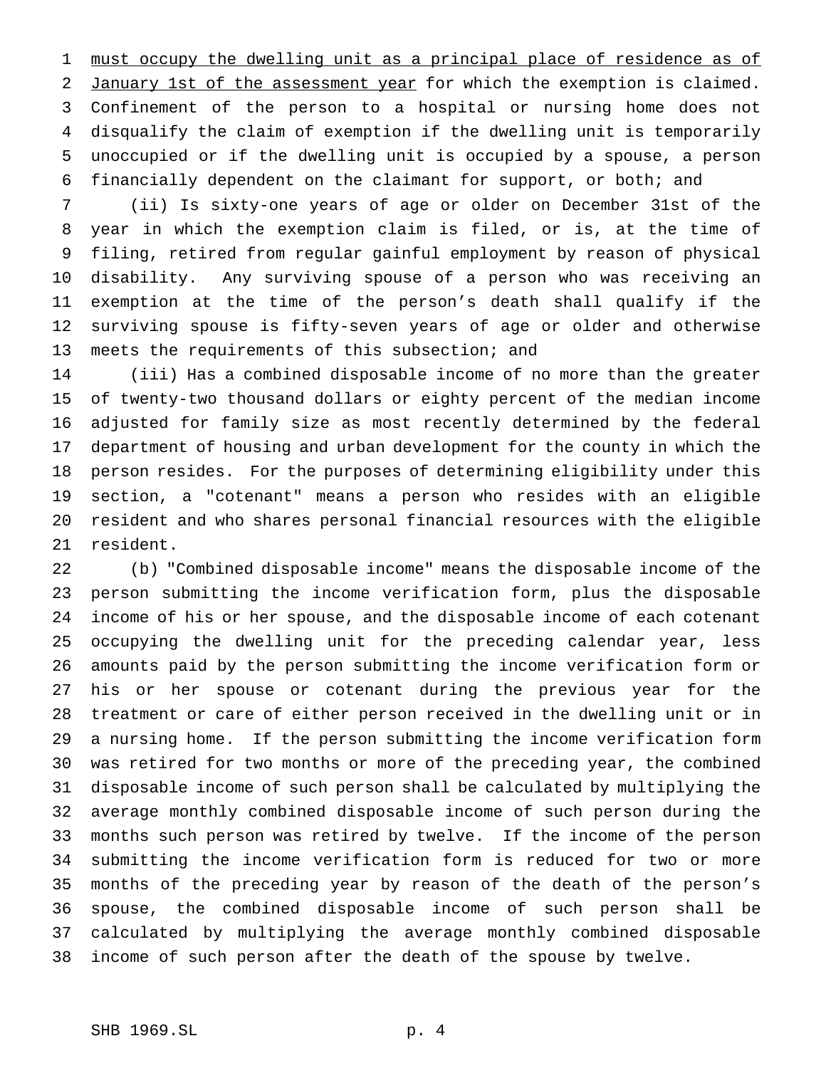must occupy the dwelling unit as a principal place of residence as of 2 January 1st of the assessment year for which the exemption is claimed. Confinement of the person to a hospital or nursing home does not disqualify the claim of exemption if the dwelling unit is temporarily unoccupied or if the dwelling unit is occupied by a spouse, a person financially dependent on the claimant for support, or both; and

 (ii) Is sixty-one years of age or older on December 31st of the year in which the exemption claim is filed, or is, at the time of filing, retired from regular gainful employment by reason of physical disability. Any surviving spouse of a person who was receiving an exemption at the time of the person's death shall qualify if the surviving spouse is fifty-seven years of age or older and otherwise meets the requirements of this subsection; and

 (iii) Has a combined disposable income of no more than the greater of twenty-two thousand dollars or eighty percent of the median income adjusted for family size as most recently determined by the federal department of housing and urban development for the county in which the person resides. For the purposes of determining eligibility under this section, a "cotenant" means a person who resides with an eligible resident and who shares personal financial resources with the eligible resident.

 (b) "Combined disposable income" means the disposable income of the person submitting the income verification form, plus the disposable income of his or her spouse, and the disposable income of each cotenant occupying the dwelling unit for the preceding calendar year, less amounts paid by the person submitting the income verification form or his or her spouse or cotenant during the previous year for the treatment or care of either person received in the dwelling unit or in a nursing home. If the person submitting the income verification form was retired for two months or more of the preceding year, the combined disposable income of such person shall be calculated by multiplying the average monthly combined disposable income of such person during the months such person was retired by twelve. If the income of the person submitting the income verification form is reduced for two or more months of the preceding year by reason of the death of the person's spouse, the combined disposable income of such person shall be calculated by multiplying the average monthly combined disposable income of such person after the death of the spouse by twelve.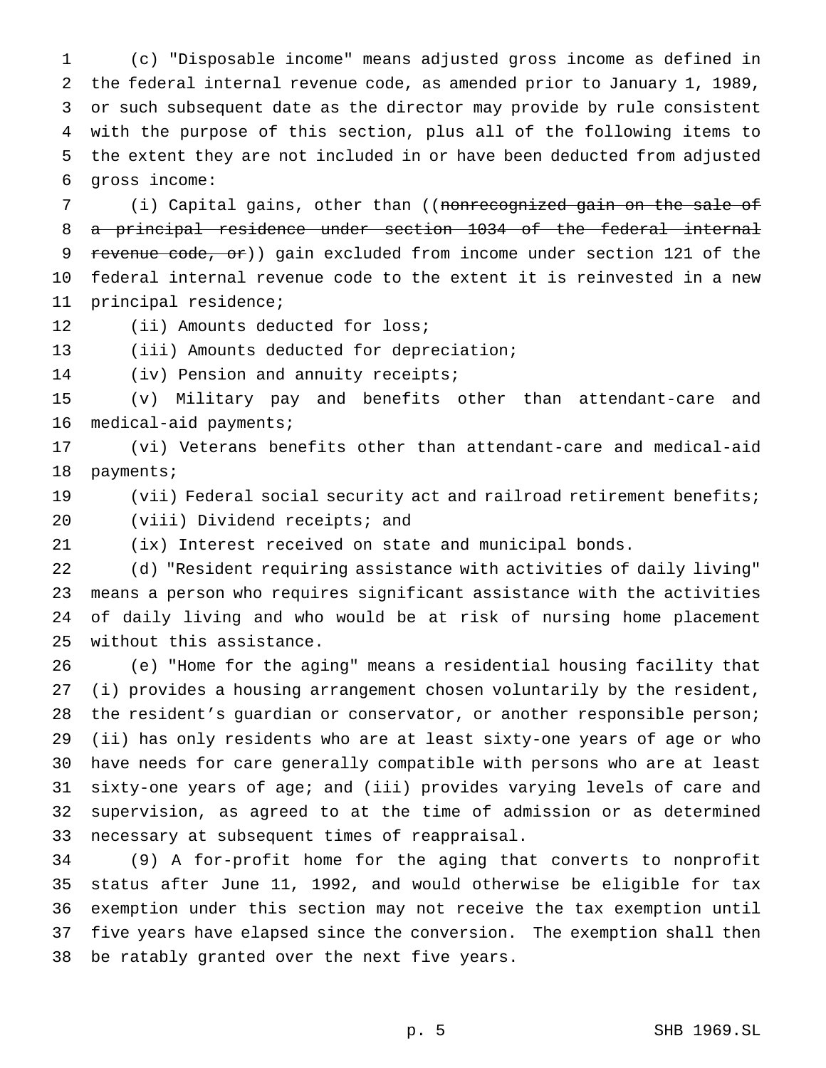(c) "Disposable income" means adjusted gross income as defined in the federal internal revenue code, as amended prior to January 1, 1989, or such subsequent date as the director may provide by rule consistent with the purpose of this section, plus all of the following items to the extent they are not included in or have been deducted from adjusted gross income:

7 (i) Capital gains, other than ((nonrecognized gain on the sale of a principal residence under section 1034 of the federal internal 9 revenue code, or)) gain excluded from income under section 121 of the federal internal revenue code to the extent it is reinvested in a new principal residence;

(ii) Amounts deducted for loss;

13 (iii) Amounts deducted for depreciation;

14 (iv) Pension and annuity receipts;

 (v) Military pay and benefits other than attendant-care and medical-aid payments;

 (vi) Veterans benefits other than attendant-care and medical-aid payments;

 (vii) Federal social security act and railroad retirement benefits; (viii) Dividend receipts; and

(ix) Interest received on state and municipal bonds.

 (d) "Resident requiring assistance with activities of daily living" means a person who requires significant assistance with the activities of daily living and who would be at risk of nursing home placement without this assistance.

 (e) "Home for the aging" means a residential housing facility that (i) provides a housing arrangement chosen voluntarily by the resident, 28 the resident's guardian or conservator, or another responsible person; (ii) has only residents who are at least sixty-one years of age or who have needs for care generally compatible with persons who are at least sixty-one years of age; and (iii) provides varying levels of care and supervision, as agreed to at the time of admission or as determined necessary at subsequent times of reappraisal.

 (9) A for-profit home for the aging that converts to nonprofit status after June 11, 1992, and would otherwise be eligible for tax exemption under this section may not receive the tax exemption until five years have elapsed since the conversion. The exemption shall then be ratably granted over the next five years.